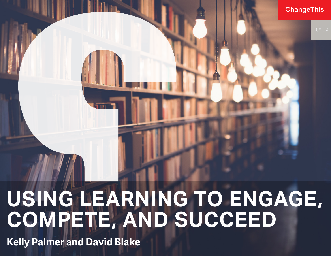**ChangeThis** 

# **USING LEARNING TO ENGAGE, COMPETE, AND SUCCEED**

**Kelly Palmer and David Blake**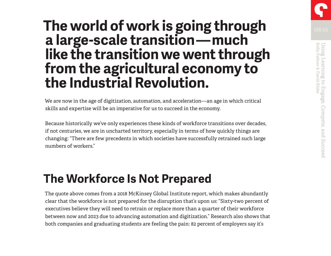## **The world of work is going through a large-scale transition — much like the transition we went through from the agricultural economy to the Industrial Revolution.**

We are now in the age of digitization, automation, and acceleration—an age in which critical skills and expertise will be an imperative for us to succeed in the economy.

Because historically we've only experiences these kinds of workforce transitions over decades, if not centuries, we are in uncharted territory, especially in terms of how quickly things are changing: "There are few precedents in which societies have successfully retrained such large numbers of workers."

#### **The Workforce Is Not Prepared**

The quote above comes from a 2018 McKinsey Global Institute report, which makes abundantly clear that the workforce is not prepared for the disruption that's upon us: "Sixty-two percent of executives believe they will need to retrain or replace more than a quarter of their workforce between now and 2023 due to advancing automation and digitization." Research also shows that both companies and graduating students are feeling the pain: 82 percent of employers say it's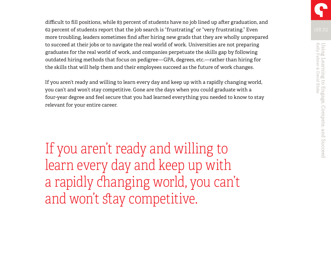difficult to fill positions, while 83 percent of students have no job lined up after graduation, and 62 percent of students report that the job search is "frustrating" or "very frustrating." Even more troubling, leaders sometimes find after hiring new grads that they are wholly unprepared to succeed at their jobs or to navigate the real world of work. Universities are not preparing graduates for the real world of work, and companies perpetuate the skills gap by following outdated hiring methods that focus on pedigree—GPA, degrees, etc.—rather than hiring for the skills that will help them and their employees succeed as the future of work changes.

If you aren't ready and willing to learn every day and keep up with a rapidly changing world, you can't and won't stay competitive. Gone are the days when you could graduate with a four-year degree and feel secure that you had learned everything you needed to know to stay relevant for your entire career.

If you aren't ready and willing to learn every day and keep up with a rapidly changing world, you can't and won't stay competitive.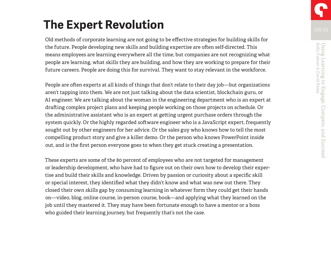### **The Expert Revolution**

Old methods of corporate learning are not going to be effective strategies for building skills for the future. People developing new skills and building expertise are often self-directed. This means employees are learning everywhere all the time, but companies are not recognizing what people are learning, what skills they are building, and how they are working to prepare for their future careers. People are doing this for survival. They want to stay relevant in the workforce.

People are often experts at all kinds of things that don't relate to their day job—but organizations aren't tapping into them. We are not just talking about the data scientist, blockchain guru, or AI engineer. We are talking about the woman in the engineering department who is an expert at drafting complex project plans and keeping people working on those projects on schedule. Or the administrative assistant who is an expert at getting urgent purchase orders through the system quickly. Or the highly regarded software engineer who is a JavaScript expert, frequently sought out by other engineers for her advice. Or the sales guy who knows how to tell the most compelling product story and give a killer demo. Or the person who knows PowerPoint inside out, and is the first person everyone goes to when they get stuck creating a presentation.

These experts are some of the 80 percent of employees who are not targeted for management or leadership development, who have had to figure out on their own how to develop their expertise and build their skills and knowledge. Driven by passion or curiosity about a specific skill or special interest, they identified what they didn't know and what was new out there. They closed their own skills gap by consuming learning in whatever form they could get their hands on—video, blog, online course, in-person course, book—and applying what they learned on the job until they mastered it. They may have been fortunate enough to have a mentor or a boss who guided their learning journey, but frequently that's not the case.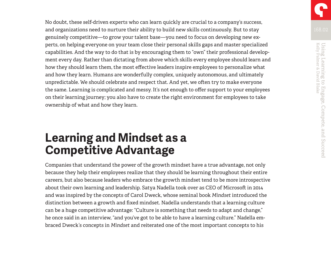No doubt, these self-driven experts who can learn quickly are crucial to a company's success, and organizations need to nurture their ability to build new skills continuously. But to stay genuinely competitive—to grow your talent base—you need to focus on developing new experts, on helping everyone on your team close their personal skills gaps and master specialized capabilities. And the way to do that is by encouraging them to "own" their professional development every day. Rather than dictating from above which skills every employee should learn and how they should learn them, the most effective leaders inspire employees to personalize what and how they learn. Humans are wonderfully complex, uniquely autonomous, and ultimately unpredictable. We should celebrate and respect that. And yet, we often try to make everyone the same. Learning is complicated and messy. It's not enough to offer support to your employees on their learning journey; you also have to create the right environment for employees to take ownership of what and how they learn.

#### **Learning and Mindset as a Competitive Advantage**

Companies that understand the power of the growth mindset have a true advantage, not only because they help their employees realize that they should be learning throughout their entire careers, but also because leaders who embrace the growth mindset tend to be more introspective about their own learning and leadership. Satya Nadella took over as CEO of Microsoft in 2014 and was inspired by the concepts of Carol Dweck, whose seminal book *Mindset* introduced the distinction between a growth and fixed mindset. Nadella understands that a learning culture can be a huge competitive advantage: "Culture is something that needs to adapt and change," he once said in an interview, "and you've got to be able to have a learning culture." Nadella embraced Dweck's concepts in *Mindset* and reiterated one of the most important concepts to his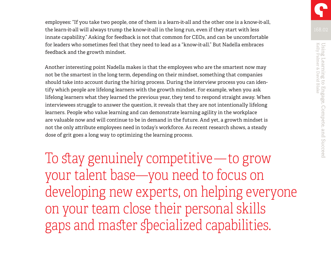employees: "If you take two people, one of them is a learn-it-all and the other one is a know-it-all, the learn-it-all will always trump the know-it-all in the long run, even if they start with less innate capability." Asking for feedback is not that common for CEOs, and can be uncomfortable for leaders who sometimes feel that they need to lead as a "know-it-all." But Nadella embraces feedback and the growth mindset.

Another interesting point Nadella makes is that the employees who are the smartest now may not be the smartest in the long term, depending on their mindset, something that companies should take into account during the hiring process. During the interview process you can identify which people are lifelong learners with the growth mindset. For example, when you ask lifelong learners what they learned the previous year, they tend to respond straight away. When interviewees struggle to answer the question, it reveals that they are not intentionally lifelong learners. People who value learning and can demonstrate learning agility in the workplace are valuable now and will continue to be in demand in the future. And yet, a growth mindset is not the only attribute employees need in today's workforce. As recent research shows, a steady dose of grit goes a long way to optimizing the learning process.

To stay genuinely competitive —to grow your talent base—you need to focus on developing new experts, on helping everyone on your team close their personal skills gaps and master specialized capabilities.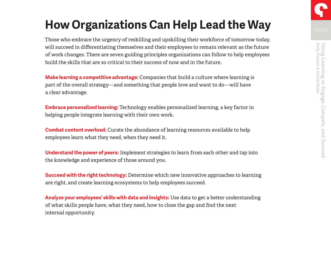### **How Organizations Can Help Lead the Way**

Those who embrace the urgency of reskilling and upskilling their workforce of tomorrow today, will succeed in differentiating themselves and their employees to remain relevant as the future of work changes. There are seven guiding principles organizations can follow to help employees build the skills that are so critical to their success of now and in the future.

**Make learning a competitive advantage:** Companies that build a culture where learning is part of the overall strategy—and something that people love and want to do—will have a clear advantage.

**Embrace personalized learning:** Technology enables personalized learning, a key factor in helping people integrate learning with their own work.

**Combat content overload:** Curate the abundance of learning resources available to help employees learn what they need, when they need it.

**Understand the power of peers:** Implement strategies to learn from each other and tap into the knowledge and experience of those around you.

**Succeed with the right technology:** Determine which new innovative approaches to learning are right, and create learning ecosystems to help employees succeed.

**Analyze your employees' skills with data and insights:** Use data to get a better understanding of what skills people have, what they need, how to close the gap and find the next internal opportunity.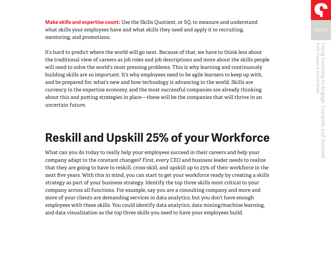**Make skills and expertise count:** Use the Skills Quotient, or SQ, to measure and understand what skills your employees have and what skills they need and apply it to recruiting, mentoring, and promotions.

It's hard to predict where the world will go next. Because of that, we have to think less about the traditional view of careers as job roles and job descriptions and more about the skills people will need to solve the world's most pressing problems. This is why learning and continuously building skills are so important. It's why employees need to be agile learners to keep up with, and be prepared for, what's new and how technology is advancing in the world. Skills are currency in the expertise economy, and the most successful companies are already thinking about this and putting strategies in place—these will be the companies that will thrive in an uncertain future.

### **Reskill and Upskill 25% of your Workforce**

What can you do today to really help your employees succeed in their careers and help your company adapt to the constant changes? First, every CEO and business leader needs to realize that they are going to have to reskill, cross-skill, and upskill up to 25% of their workforce in the next five years. With this in mind, you can start to get your workforce ready by creating a skills strategy as part of your business strategy. Identify the top three skills most critical to your company across all functions. For example, say you are a consulting company and more and more of your clients are demanding services in data analytics, but you don't have enough employees with these skills. You could identify data analytics, data mining/machine learning, and data visualization as the top three skills you need to have your employees build.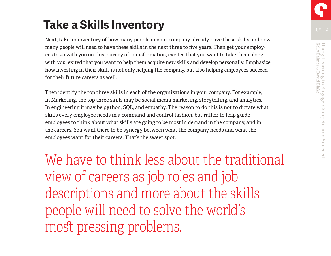## **Take a Skills Inventory**

Next, take an inventory of how many people in your company already have these skills and how many people will need to have these skills in the next three to five years. Then get your employees to go with you on this journey of transformation, excited that you want to take them along with you, exited that you want to help them acquire new skills and develop personally. Emphasize how investing in their skills is not only helping the company, but also helping employees succeed for their future careers as well.

Then identify the top three skills in each of the organizations in your company. For example, in Marketing, the top three skills may be social media marketing, storytelling, and analytics. In engineering it may be python, SQL, and empathy. The reason to do this is not to dictate what skills every employee needs in a command and control fashion, but rather to help guide employees to think about what skills are going to be most in demand in the company, and in the careers. You want there to be synergy between what the company needs and what the employees want for their careers. That's the sweet spot.

We have to think less about the traditional view of careers as job roles and job descriptions and more about the skills people will need to solve the world's most pressing problems.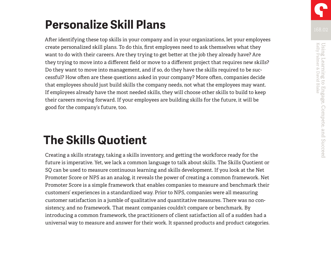## **Personalize Skill Plans**

After identifying these top skills in your company and in your organizations, let your employees create personalized skill plans. To do this, first employees need to ask themselves what they want to do with their careers. Are they trying to get better at the job they already have? Are they trying to move into a different field or move to a different project that requires new skills? Do they want to move into management, and if so, do they have the skills required to be successful? How often are these questions asked in your company? More often, companies decide that employees should just build skills the company needs, not what the employees may want. If employees already have the most needed skills, they will choose other skills to build to keep their careers moving forward. If your employees are building skills for the future, it will be good for the company's future, too.

### **The Skills Quotient**

Creating a skills strategy, taking a skills inventory, and getting the workforce ready for the future is imperative. Yet, we lack a common language to talk about skills. The Skills Quotient or SQ can be used to measure continuous learning and skills development. If you look at the Net Promoter Score or NPS as an analog, it reveals the power of creating a common framework. Net Promoter Score is a simple framework that enables companies to measure and benchmark their customers' experiences in a standardized way. Prior to NPS, companies were all measuring customer satisfaction in a jumble of qualitative and quantitative measures. There was no consistency, and no framework. That meant companies couldn't compare or benchmark. By introducing a common framework, the practitioners of client satisfaction all of a sudden had a universal way to measure and answer for their work. It spanned products and product categories.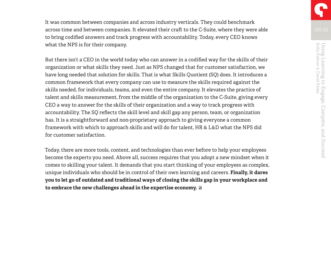It was common between companies and across industry verticals. They could benchmark across time and between companies. It elevated their craft to the C-Suite, where they were able to bring codified answers and track progress with accountability. Today, every CEO knows what the NPS is for their company.

But there isn't a CEO in the world today who can answer in a codified way for the skills of their organization or what skills they need. Just as NPS changed that for customer satisfaction, we have long needed that solution for skills. That is what Skills Quotient (SQ) does. It introduces a common framework that every company can use to measure the skills required against the skills needed, for individuals, teams, and even the entire company. It elevates the practice of talent and skills measurement, from the middle of the organization to the C-Suite, giving every CEO a way to answer for the skills of their organization and a way to track progress with accountability. The SQ reflects the skill level and skill gap any person, team, or organization has. It is a straightforward and non-proprietary approach to giving everyone a common framework with which to approach skills and will do for talent, HR & L&D what the NPS did for customer satisfaction.

Today, there are more tools, content, and technologies than ever before to help your employees become the experts you need. Above all, success requires that you adopt a new mindset when it comes to skilling your talent. It demands that you start thinking of your employees as complex, unique individuals who should be in control of their own learning and careers. **Finally, it dares you to let go of outdated and traditional ways of closing the skills gap in your workplace and to embrace the new challenges ahead in the expertise economy.**